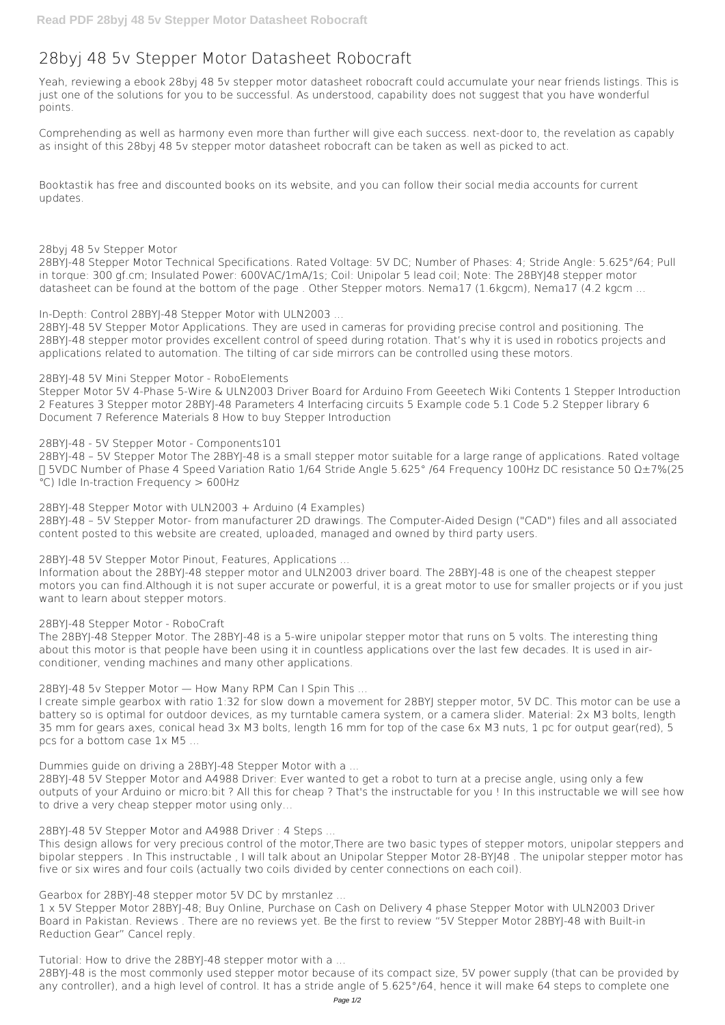# **28byj 48 5v Stepper Motor Datasheet Robocraft**

Yeah, reviewing a ebook **28byj 48 5v stepper motor datasheet robocraft** could accumulate your near friends listings. This is just one of the solutions for you to be successful. As understood, capability does not suggest that you have wonderful points.

Comprehending as well as harmony even more than further will give each success. next-door to, the revelation as capably as insight of this 28byj 48 5v stepper motor datasheet robocraft can be taken as well as picked to act.

Booktastik has free and discounted books on its website, and you can follow their social media accounts for current updates.

### **28byj 48 5v Stepper Motor**

28BYJ-48 Stepper Motor Technical Specifications. Rated Voltage: 5V DC; Number of Phases: 4; Stride Angle: 5.625°/64; Pull in torque: 300 gf.cm; Insulated Power: 600VAC/1mA/1s; Coil: Unipolar 5 lead coil; Note: The 28BYJ48 stepper motor datasheet can be found at the bottom of the page . Other Stepper motors. Nema17 (1.6kgcm), Nema17 (4.2 kgcm ...

**In-Depth: Control 28BYJ-48 Stepper Motor with ULN2003 ...**

28BYJ-48 5V Stepper Motor Applications. They are used in cameras for providing precise control and positioning. The 28BYJ-48 stepper motor provides excellent control of speed during rotation. That's why it is used in robotics projects and applications related to automation. The tilting of car side mirrors can be controlled using these motors.

### **28BYJ-48 5V Mini Stepper Motor - RoboElements**

Stepper Motor 5V 4-Phase 5-Wire & ULN2003 Driver Board for Arduino From Geeetech Wiki Contents 1 Stepper Introduction 2 Features 3 Stepper motor 28BYJ-48 Parameters 4 Interfacing circuits 5 Example code 5.1 Code 5.2 Stepper library 6 Document 7 Reference Materials 8 How to buy Stepper Introduction

### **28BYJ-48 - 5V Stepper Motor - Components101**

28BYJ-48 – 5V Stepper Motor The 28BYJ-48 is a small stepper motor suitable for a large range of applications. Rated voltage : 5VDC Number of Phase 4 Speed Variation Ratio 1/64 Stride Angle 5.625° /64 Frequency 100Hz DC resistance 50 Ω±7%(25 ℃) Idle In-traction Frequency > 600Hz

#### **28BYJ-48 Stepper Motor with ULN2003 + Arduino (4 Examples)**

28BYJ-48 – 5V Stepper Motor- from manufacturer 2D drawings. The Computer-Aided Design ("CAD") files and all associated content posted to this website are created, uploaded, managed and owned by third party users.

### **28BYJ-48 5V Stepper Motor Pinout, Features, Applications ...**

Information about the 28BYJ-48 stepper motor and ULN2003 driver board. The 28BYJ-48 is one of the cheapest stepper motors you can find.Although it is not super accurate or powerful, it is a great motor to use for smaller projects or if you just want to learn about stepper motors.

### **28BYJ-48 Stepper Motor - RoboCraft**

The 28BYJ-48 Stepper Motor. The 28BYJ-48 is a 5-wire unipolar stepper motor that runs on 5 volts. The interesting thing about this motor is that people have been using it in countless applications over the last few decades. It is used in airconditioner, vending machines and many other applications.

**28BYJ-48 5v Stepper Motor — How Many RPM Can I Spin This ...**

I create simple gearbox with ratio 1:32 for slow down a movement for 28BYJ stepper motor, 5V DC. This motor can be use a battery so is optimal for outdoor devices, as my turntable camera system, or a camera slider. Material: 2x M3 bolts, length 35 mm for gears axes, conical head 3x M3 bolts, length 16 mm for top of the case 6x M3 nuts, 1 pc for output gear(red), 5 pcs for a bottom case 1x M5 ...

**Dummies guide on driving a 28BYJ-48 Stepper Motor with a ...**

28BYJ-48 5V Stepper Motor and A4988 Driver: Ever wanted to get a robot to turn at a precise angle, using only a few outputs of your Arduino or micro:bit ? All this for cheap ? That's the instructable for you ! In this instructable we will see how to drive a very cheap stepper motor using only…

**28BYJ-48 5V Stepper Motor and A4988 Driver : 4 Steps ...**

This design allows for very precious control of the motor,There are two basic types of stepper motors, unipolar steppers and bipolar steppers . In This instructable , I will talk about an Unipolar Stepper Motor 28-BYJ48 . The unipolar stepper motor has five or six wires and four coils (actually two coils divided by center connections on each coil).

**Gearbox for 28BYJ-48 stepper motor 5V DC by mrstanlez ...**

1 x 5V Stepper Motor 28BYJ-48; Buy Online, Purchase on Cash on Delivery 4 phase Stepper Motor with ULN2003 Driver Board in Pakistan. Reviews . There are no reviews yet. Be the first to review "5V Stepper Motor 28BYJ-48 with Built-in Reduction Gear" Cancel reply.

**Tutorial: How to drive the 28BYJ-48 stepper motor with a ...**

28BYJ-48 is the most commonly used stepper motor because of its compact size, 5V power supply (that can be provided by any controller), and a high level of control. It has a stride angle of 5.625°/64, hence it will make 64 steps to complete one